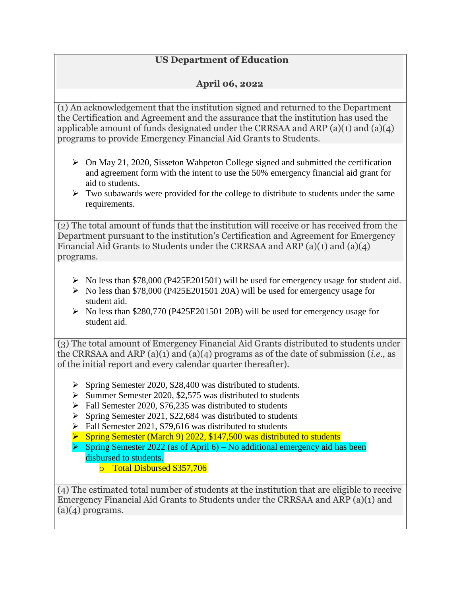## **US Department of Education**

## **April 06, 2022**

(1) An acknowledgement that the institution signed and returned to the Department the Certification and Agreement and the assurance that the institution has used the applicable amount of funds designated under the CRRSAA and ARP (a)(1) and (a)(4) programs to provide Emergency Financial Aid Grants to Students.

- $\triangleright$  On May 21, 2020, Sisseton Wahpeton College signed and submitted the certification and agreement form with the intent to use the 50% emergency financial aid grant for aid to students.
- $\triangleright$  Two subawards were provided for the college to distribute to students under the same requirements.

(2) The total amount of funds that the institution will receive or has received from the Department pursuant to the institution's Certification and Agreement for Emergency Financial Aid Grants to Students under the CRRSAA and ARP (a)(1) and (a)(4) programs.

- $\triangleright$  No less than \$78,000 (P425E201501) will be used for emergency usage for student aid.
- $\triangleright$  No less than \$78,000 (P425E201501 20A) will be used for emergency usage for student aid.
- $\triangleright$  No less than \$280,770 (P425E201501 20B) will be used for emergency usage for student aid.

(3) The total amount of Emergency Financial Aid Grants distributed to students under the CRRSAA and ARP (a)(1) and (a)(4) programs as of the date of submission (*i.e.,* as of the initial report and every calendar quarter thereafter).

- $\triangleright$  Spring Semester 2020, \$28,400 was distributed to students.
- $\triangleright$  Summer Semester 2020, \$2,575 was distributed to students
- $\triangleright$  Fall Semester 2020, \$76,235 was distributed to students
- $\triangleright$  Spring Semester 2021, \$22,684 was distributed to students
- $\triangleright$  Fall Semester 2021, \$79,616 was distributed to students
- **Spring Semester (March 9) 2022, \$147,500 was distributed to students**
- $\triangleright$  Spring Semester 2022 (as of April 6) No additional emergency aid has been disbursed to students.
	- o Total Disbursed \$357,706

(4) The estimated total number of students at the institution that are eligible to receive Emergency Financial Aid Grants to Students under the CRRSAA and ARP (a)(1) and  $(a)(4)$  programs.